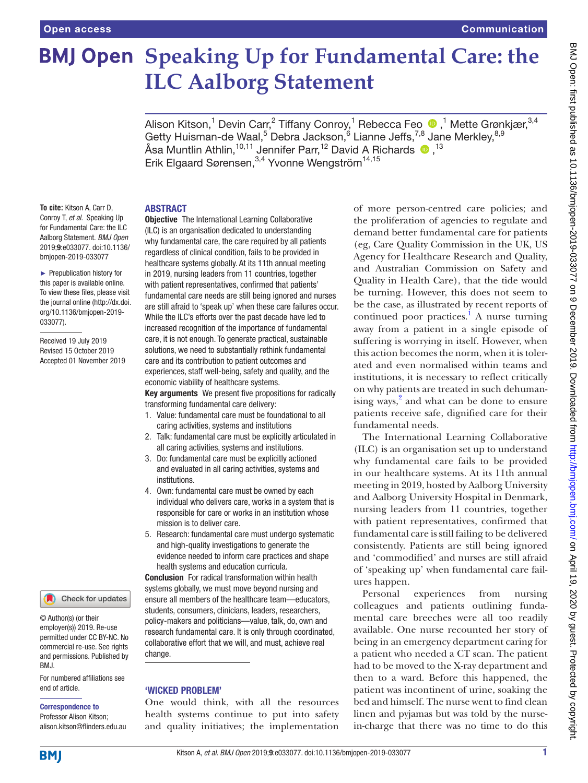# **BMJ Open Speaking Up for Fundamental Care: the ILC Aalborg Statement**

AlisonKitson,<sup>1</sup> Devin Carr,<sup>2</sup> Tiffany Conroy,<sup>1</sup> Rebecca Feo ®,<sup>1</sup> Mette Grønkjær,<sup>3,4</sup> Getty Huisman-de Waal,<sup>5</sup> Debra Jackson,<sup>6</sup> Lianne Jeffs,<sup>7,8</sup> Jane Merkley,<sup>8,9</sup> ÅsaMuntlin Athlin,<sup>10,11</sup> Jennifer Parr,<sup>12</sup> David A Richards  $\bullet$ ,<sup>13</sup> Erik Elgaard Sørensen,<sup>3,4</sup> Yvonne Wengström<sup>14,15</sup>

# **ABSTRACT**

**To cite:** Kitson A, Carr D, Conroy T, *et al*. Speaking Up for Fundamental Care: the ILC Aalborg Statement. *BMJ Open* 2019;9:e033077. doi:10.1136/ bmjopen-2019-033077

► Prepublication history for this paper is available online. To view these files, please visit the journal online (http://dx.doi. org/10.1136/bmjopen-2019- 033077).

Received 19 July 2019 Revised 15 October 2019 Accepted 01 November 2019

Check for updates

© Author(s) (or their employer(s)) 2019. Re-use permitted under CC BY-NC. No commercial re-use. See rights and permissions. Published by BMJ.

For numbered affiliations see end of article.

#### Correspondence to

Professor Alison Kitson; alison.kitson@flinders.edu.au **Objective** The International Learning Collaborative (ILC) is an organisation dedicated to understanding why fundamental care, the care required by all patients regardless of clinical condition, fails to be provided in healthcare systems globally. At its 11th annual meeting in 2019, nursing leaders from 11 countries, together with patient representatives, confirmed that patients' fundamental care needs are still being ignored and nurses are still afraid to 'speak up' when these care failures occur. While the ILC's efforts over the past decade have led to increased recognition of the importance of fundamental care, it is not enough. To generate practical, sustainable solutions, we need to substantially rethink fundamental care and its contribution to patient outcomes and experiences, staff well-being, safety and quality, and the economic viability of healthcare systems.

Key arguments We present five propositions for radically transforming fundamental care delivery:

- 1. Value: fundamental care must be foundational to all caring activities, systems and institutions
- 2. Talk: fundamental care must be explicitly articulated in all caring activities, systems and institutions.
- 3. Do: fundamental care must be explicitly actioned and evaluated in all caring activities, systems and institutions.
- 4. Own: fundamental care must be owned by each individual who delivers care, works in a system that is responsible for care or works in an institution whose mission is to deliver care.
- 5. Research: fundamental care must undergo systematic and high-quality investigations to generate the evidence needed to inform care practices and shape health systems and education curricula.

Conclusion For radical transformation within health systems globally, we must move beyond nursing and ensure all members of the healthcare team—educators, students, consumers, clinicians, leaders, researchers, policy-makers and politicians—value, talk, do, own and research fundamental care. It is only through coordinated, collaborative effort that we will, and must, achieve real change.

# 'Wicked problem'

One would think, with all the resources health systems continue to put into safety and quality initiatives; the implementation

of more person-centred care policies; and the proliferation of agencies to regulate and demand better fundamental care for patients (eg, Care Quality Commission in the UK, US Agency for Healthcare Research and Quality, and Australian Commission on Safety and Quality in Health Care), that the tide would be turning. However, this does not seem to be the case, as illustrated by recent reports of continued poor practices.<sup>1</sup> A nurse turning away from a patient in a single episode of suffering is worrying in itself. However, when this action becomes the norm, when it is tolerated and even normalised within teams and institutions, it is necessary to reflect critically on why patients are treated in such dehumanising ways, $3$  and what can be done to ensure patients receive safe, dignified care for their fundamental needs.

The International Learning Collaborative (ILC) is an organisation set up to understand why fundamental care fails to be provided in our healthcare systems. At its 11th annual meeting in 2019, hosted by Aalborg University and Aalborg University Hospital in Denmark, nursing leaders from 11 countries, together with patient representatives, confirmed that fundamental care is still failing to be delivered consistently. Patients are still being ignored and 'commodified' and nurses are still afraid of 'speaking up' when fundamental care failures happen.

Personal experiences from nursing colleagues and patients outlining fundamental care breeches were all too readily available. One nurse recounted her story of being in an emergency department caring for a patient who needed a CT scan. The patient had to be moved to the X-ray department and then to a ward. Before this happened, the patient was incontinent of urine, soaking the bed and himself. The nurse went to find clean linen and pyjamas but was told by the nursein-charge that there was no time to do this

**BMI**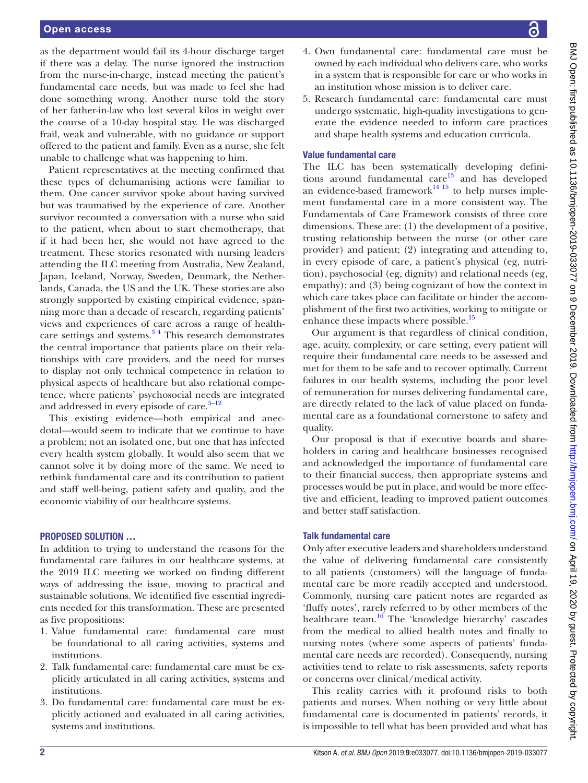## Open access

as the department would fail its 4-hour discharge target if there was a delay. The nurse ignored the instruction from the nurse-in-charge, instead meeting the patient's fundamental care needs, but was made to feel she had done something wrong. Another nurse told the story of her father-in-law who lost several kilos in weight over the course of a 10-day hospital stay. He was discharged frail, weak and vulnerable, with no guidance or support offered to the patient and family. Even as a nurse, she felt unable to challenge what was happening to him.

Patient representatives at the meeting confirmed that these types of dehumanising actions were familiar to them. One cancer survivor spoke about having survived but was traumatised by the experience of care. Another survivor recounted a conversation with a nurse who said to the patient, when about to start chemotherapy, that if it had been her, she would not have agreed to the treatment. These stories resonated with nursing leaders attending the ILC meeting from Australia, New Zealand, Japan, Iceland, Norway, Sweden, Denmark, the Netherlands, Canada, the US and the UK. These stories are also strongly supported by existing empirical evidence, spanning more than a decade of research, regarding patients' views and experiences of care across a range of healthcare settings and systems. $3<sup>4</sup>$  This research demonstrates the central importance that patients place on their relationships with care providers, and the need for nurses to display not only technical competence in relation to physical aspects of healthcare but also relational competence, where patients' psychosocial needs are integrated and addressed in every episode of care. $5-12$ 

This existing evidence—both empirical and anecdotal—would seem to indicate that we continue to have a problem; not an isolated one, but one that has infected every health system globally. It would also seem that we cannot solve it by doing more of the same. We need to rethink fundamental care and its contribution to patient and staff well-being, patient safety and quality, and the economic viability of our healthcare systems.

#### Proposed solution …

In addition to trying to understand the reasons for the fundamental care failures in our healthcare systems, at the 2019 ILC meeting we worked on finding different ways of addressing the issue, moving to practical and sustainable solutions. We identified five essential ingredients needed for this transformation. These are presented as five propositions:

- 1. Value fundamental care: fundamental care must be foundational to all caring activities, systems and institutions.
- 2. Talk fundamental care: fundamental care must be explicitly articulated in all caring activities, systems and institutions.
- 3. Do fundamental care: fundamental care must be explicitly actioned and evaluated in all caring activities, systems and institutions.
- BMJ Open: first published as 10.1136/bmijopen-2019-033077 on 9 December 2019. Downloaded from http://bmjopen.bmj.com/ on April 19, 2020 by guest. Protected by copyright BMJ Open: first published as 10.1136/bmjopen-2019-033077 on 9 December 2019. Downloaded from <http://bmjopen.bmj.com/> on April 19, 2020 by guest. Protected by copyright.
- 4. Own fundamental care: fundamental care must be owned by each individual who delivers care, who works in a system that is responsible for care or who works in an institution whose mission is to deliver care.
- 5. Research fundamental care: fundamental care must undergo systematic, high-quality investigations to generate the evidence needed to inform care practices and shape health systems and education curricula.

# Value fundamental care

The ILC has been systematically developing definitions around fundamental care $13$  and has developed an evidence-based framework $14 \frac{15}{15}$  to help nurses implement fundamental care in a more consistent way. The Fundamentals of Care Framework consists of three core dimensions. These are: (1) the development of a positive, trusting relationship between the nurse (or other care provider) and patient; (2) integrating and attending to, in every episode of care, a patient's physical (eg, nutrition), psychosocial (eg, dignity) and relational needs (eg, empathy); and (3) being cognizant of how the context in which care takes place can facilitate or hinder the accomplishment of the first two activities, working to mitigate or enhance these impacts where possible.<sup>[15](#page-4-6)</sup>

Our argument is that regardless of clinical condition, age, acuity, complexity, or care setting, every patient will require their fundamental care needs to be assessed and met for them to be safe and to recover optimally. Current failures in our health systems, including the poor level of remuneration for nurses delivering fundamental care, are directly related to the lack of value placed on fundamental care as a foundational cornerstone to safety and quality.

Our proposal is that if executive boards and shareholders in caring and healthcare businesses recognised and acknowledged the importance of fundamental care to their financial success, then appropriate systems and processes would be put in place, and would be more effective and efficient, leading to improved patient outcomes and better staff satisfaction.

## Talk fundamental care

Only after executive leaders and shareholders understand the value of delivering fundamental care consistently to all patients (customers) will the language of fundamental care be more readily accepted and understood. Commonly, nursing care patient notes are regarded as 'fluffy notes', rarely referred to by other members of the healthcare team.<sup>16</sup> The 'knowledge hierarchy' cascades from the medical to allied health notes and finally to nursing notes (where some aspects of patients' fundamental care needs are recorded). Consequently, nursing activities tend to relate to risk assessments, safety reports or concerns over clinical/medical activity.

This reality carries with it profound risks to both patients and nurses. When nothing or very little about fundamental care is documented in patients' records, it is impossible to tell what has been provided and what has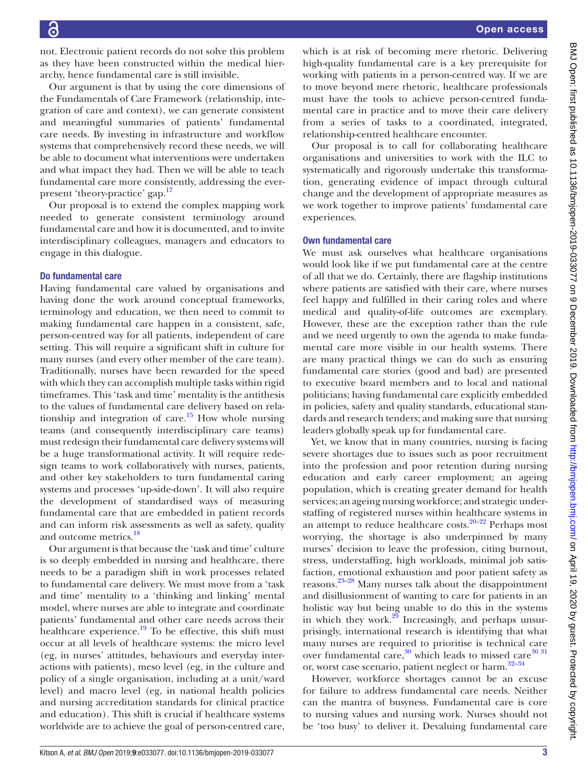not. Electronic patient records do not solve this problem as they have been constructed within the medical hierarchy, hence fundamental care is still invisible.

Our argument is that by using the core dimensions of the Fundamentals of Care Framework (relationship, integration of care and context), we can generate consistent and meaningful summaries of patients' fundamental care needs. By investing in infrastructure and workflow systems that comprehensively record these needs, we will be able to document what interventions were undertaken and what impact they had. Then we will be able to teach fundamental care more consistently, addressing the everpresent 'theory-practice' gap.<sup>17</sup>

Our proposal is to extend the complex mapping work needed to generate consistent terminology around fundamental care and how it is documented, and to invite interdisciplinary colleagues, managers and educators to engage in this dialogue.

# Do fundamental care

Having fundamental care valued by organisations and having done the work around conceptual frameworks, terminology and education, we then need to commit to making fundamental care happen in a consistent, safe, person-centred way for all patients, independent of care setting. This will require a significant shift in culture for many nurses (and every other member of the care team). Traditionally, nurses have been rewarded for the speed with which they can accomplish multiple tasks within rigid timeframes. This 'task and time' mentality is the antithesis to the values of fundamental care delivery based on relationship and integration of care.<sup>15</sup> How whole nursing teams (and consequently interdisciplinary care teams) must redesign their fundamental care delivery systems will be a huge transformational activity. It will require redesign teams to work collaboratively with nurses, patients, and other key stakeholders to turn fundamental caring systems and processes 'up-side-down'. It will also require the development of standardised ways of measuring fundamental care that are embedded in patient records and can inform risk assessments as well as safety, quality and outcome metrics.<sup>18</sup>

Our argument is that because the 'task and time' culture is so deeply embedded in nursing and healthcare, there needs to be a paradigm shift in work processes related to fundamental care delivery. We must move from a 'task and time' mentality to a 'thinking and linking' mental model, where nurses are able to integrate and coordinate patients' fundamental and other care needs across their healthcare experience.<sup>19</sup> To be effective, this shift must occur at all levels of healthcare systems: the micro level (eg, in nurses' attitudes, behaviours and everyday interactions with patients), meso level (eg, in the culture and policy of a single organisation, including at a unit/ward level) and macro level (eg, in national health policies and nursing accreditation standards for clinical practice and education). This shift is crucial if healthcare systems worldwide are to achieve the goal of person-centred care,

which is at risk of becoming mere rhetoric. Delivering high-quality fundamental care is a key prerequisite for working with patients in a person-centred way. If we are to move beyond mere rhetoric, healthcare professionals must have the tools to achieve person-centred fundamental care in practice and to move their care delivery from a series of tasks to a coordinated, integrated, relationship-centred healthcare encounter.

Our proposal is to call for collaborating healthcare organisations and universities to work with the ILC to systematically and rigorously undertake this transformation, generating evidence of impact through cultural change and the development of appropriate measures as we work together to improve patients' fundamental care experiences.

# Own fundamental care

We must ask ourselves what healthcare organisations would look like if we put fundamental care at the centre of all that we do. Certainly, there are flagship institutions where patients are satisfied with their care, where nurses feel happy and fulfilled in their caring roles and where medical and quality-of-life outcomes are exemplary. However, these are the exception rather than the rule and we need urgently to own the agenda to make fundamental care more visible in our health systems. There are many practical things we can do such as ensuring fundamental care stories (good and bad) are presented to executive board members and to local and national politicians; having fundamental care explicitly embedded in policies, safety and quality standards, educational standards and research tenders; and making sure that nursing leaders globally speak up for fundamental care.

Yet, we know that in many countries, nursing is facing severe shortages due to issues such as poor recruitment into the profession and poor retention during nursing education and early career employment; an ageing population, which is creating greater demand for health services; an ageing nursing workforce; and strategic understaffing of registered nurses within healthcare systems in an attempt to reduce healthcare costs. $20-22$  Perhaps most worrying, the shortage is also underpinned by many nurses' decision to leave the profession, citing burnout, stress, understaffing, high workloads, minimal job satisfaction, emotional exhaustion and poor patient safety as reasons.[23–28](#page-4-12) Many nurses talk about the disappointment and disillusionment of wanting to care for patients in an holistic way but being unable to do this in the systems in which they work. $^{29}$  Increasingly, and perhaps unsurprisingly, international research is identifying that what many nurses are required to prioritise is technical care over fundamental care,  $30$  which leads to missed care  $30$  31 or, worst case scenario, patient neglect or harm.<sup>32–34</sup>

However, workforce shortages cannot be an excuse for failure to address fundamental care needs. Neither can the mantra of busyness. Fundamental care is core to nursing values and nursing work. Nurses should not be 'too busy' to deliver it. Devaluing fundamental care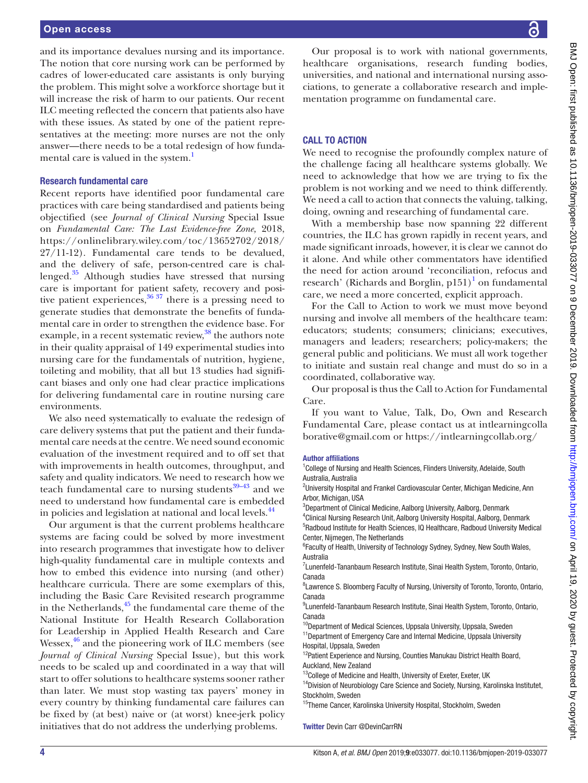and its importance devalues nursing and its importance. The notion that core nursing work can be performed by cadres of lower-educated care assistants is only burying the problem. This might solve a workforce shortage but it will increase the risk of harm to our patients. Our recent ILC meeting reflected the concern that patients also have with these issues. As stated by one of the patient representatives at the meeting: more nurses are not the only answer—there needs to be a total redesign of how fundamental care is valued in the system.<sup>1</sup>

# Research fundamental care

Recent reports have identified poor fundamental care practices with care being standardised and patients being objectified (see *Journal of Clinical Nursing* Special Issue on *Fundamental Care: The Last Evidence-free Zone,* 2018, [https://onlinelibrary.wiley.com/toc/13652702/2018/](https://onlinelibrary.wiley.com/toc/13652702/2018/27/11-12) [27/11-12\)](https://onlinelibrary.wiley.com/toc/13652702/2018/27/11-12). Fundamental care tends to be devalued, and the delivery of safe, person-centred care is challenged.[35](#page-4-16) Although studies have stressed that nursing care is important for patient safety, recovery and positive patient experiences,  $36\frac{37}{7}$  there is a pressing need to generate studies that demonstrate the benefits of fundamental care in order to strengthen the evidence base. For example, in a recent systematic review,<sup>38</sup> the authors note in their quality appraisal of 149 experimental studies into nursing care for the fundamentals of nutrition, hygiene, toileting and mobility, that all but 13 studies had significant biases and only one had clear practice implications for delivering fundamental care in routine nursing care environments.

We also need systematically to evaluate the redesign of care delivery systems that put the patient and their fundamental care needs at the centre. We need sound economic evaluation of the investment required and to off set that with improvements in health outcomes, throughput, and safety and quality indicators. We need to research how we teach fundamental care to nursing students $39-43$  and we need to understand how fundamental care is embedded in policies and legislation at national and local levels.<sup>44</sup>

Our argument is that the current problems healthcare systems are facing could be solved by more investment into research programmes that investigate how to deliver high-quality fundamental care in multiple contexts and how to embed this evidence into nursing (and other) healthcare curricula. There are some exemplars of this, including the Basic Care Revisited research programme in the Netherlands, $45$  the fundamental care theme of the National Institute for Health Research Collaboration for Leadership in Applied Health Research and Care Wessex,  $46$  and the pioneering work of ILC members (see *Journal of Clinical Nursing* Special Issue), but this work needs to be scaled up and coordinated in a way that will start to offer solutions to healthcare systems sooner rather than later. We must stop wasting tax payers' money in every country by thinking fundamental care failures can be fixed by (at best) naive or (at worst) knee-jerk policy initiatives that do not address the underlying problems.

Our proposal is to work with national governments, healthcare organisations, research funding bodies, universities, and national and international nursing associations, to generate a collaborative research and implementation programme on fundamental care.

# Call to action

We need to recognise the profoundly complex nature of the challenge facing all healthcare systems globally. We need to acknowledge that how we are trying to fix the problem is not working and we need to think differently. We need a call to action that connects the valuing, talking, doing, owning and researching of fundamental care.

With a membership base now spanning 22 different countries, the ILC has grown rapidly in recent years, and made significant inroads, however, it is clear we cannot do it alone. And while other commentators have identified the need for action around 'reconciliation, refocus and research' (Richards and Borglin,  $p151$ <sup>1</sup> on fundamental care, we need a more concerted, explicit approach.

For the Call to Action to work we must move beyond nursing and involve all members of the healthcare team: educators; students; consumers; clinicians; executives, managers and leaders; researchers; policy-makers; the general public and politicians. We must all work together to initiate and sustain real change and must do so in a coordinated, collaborative way.

Our proposal is thus the Call to Action for Fundamental Care.

If you want to Value, Talk, Do, Own and Research Fundamental Care, please contact us at intlearningcolla borative@gmail.com or <https://intlearningcollab.org/>

#### Author affiliations

<sup>1</sup>College of Nursing and Health Sciences, Flinders University, Adelaide, South Australia, Australia

<sup>2</sup>University Hospital and Frankel Cardiovascular Center, Michigan Medicine, Ann Arbor, Michigan, USA

<sup>3</sup>Department of Clinical Medicine, Aalborg University, Aalborg, Denmark

4 Clinical Nursing Research Unit, Aalborg University Hospital, Aalborg, Denmark 5 Radboud Institute for Health Sciences, IQ Healthcare, Radboud University Medical Center, Nijmegen, The Netherlands

<sup>6</sup> Faculty of Health, University of Technology Sydney, Sydney, New South Wales, Australia

<sup>7</sup> Lunenfeld-Tananbaum Research Institute, Sinai Health System, Toronto, Ontario, Canada

<sup>8</sup> Lawrence S. Bloomberg Faculty of Nursing, University of Toronto, Toronto, Ontario, Canada

9 Lunenfeld-Tananbaum Research Institute, Sinai Health System, Toronto, Ontario, Canada

<sup>10</sup>Department of Medical Sciences, Uppsala University, Uppsala, Sweden <sup>11</sup>Department of Emergency Care and Internal Medicine, Uppsala University Hospital, Uppsala, Sweden

<sup>12</sup>Patient Experience and Nursing, Counties Manukau District Health Board, Auckland, New Zealand

<sup>13</sup>College of Medicine and Health, University of Exeter, Exeter, UK

<sup>14</sup>Division of Neurobiology Care Science and Society, Nursing, Karolinska Institutet, Stockholm, Sweden

<sup>15</sup>Theme Cancer, Karolinska University Hospital, Stockholm, Sweden

Twitter Devin Carr [@DevinCarrRN](https://twitter.com/DevinCarrRN)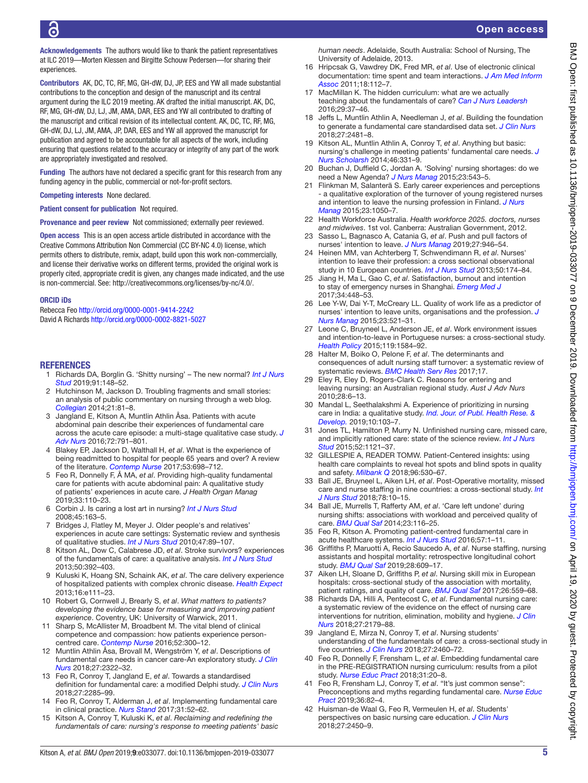Acknowledgements The authors would like to thank the patient representatives at ILC 2019—Morten Klessen and Birgitte Schouw Pedersen—for sharing their experiences.

Contributors AK, DC, TC, RF, MG, GH-dW, DJ, JP, EES and YW all made substantial contributions to the conception and design of the manuscript and its central argument during the ILC 2019 meeting. AK drafted the initial manuscript. AK, DC, RF, MG, GH-dW, DJ, LJ, JM, AMA, DAR, EES and YW all contributed to drafting of the manuscript and critical revision of its intellectual content. AK, DC, TC, RF, MG, GH-dW, DJ, LJ, JM, AMA, JP, DAR, EES and YW all approved the manuscript for publication and agreed to be accountable for all aspects of the work, including ensuring that questions related to the accuracy or integrity of any part of the work are appropriately investigated and resolved.

Funding The authors have not declared a specific grant for this research from any funding agency in the public, commercial or not-for-profit sectors.

Competing interests None declared.

Patient consent for publication Not required.

Provenance and peer review Not commissioned; externally peer reviewed.

Open access This is an open access article distributed in accordance with the Creative Commons Attribution Non Commercial (CC BY-NC 4.0) license, which permits others to distribute, remix, adapt, build upon this work non-commercially, and license their derivative works on different terms, provided the original work is properly cited, appropriate credit is given, any changes made indicated, and the use is non-commercial. See: [http://creativecommons.org/licenses/by-nc/4.0/.](http://creativecommons.org/licenses/by-nc/4.0/)

#### ORCID iDs

Rebecca Feo<http://orcid.org/0000-0001-9414-2242> David A Richards<http://orcid.org/0000-0002-8821-5027>

#### **REFERENCES**

- <span id="page-4-0"></span>1 Richards DA, Borglin G. 'Shitty nursing' – The new normal? *[Int J Nurs](http://dx.doi.org/10.1016/j.ijnurstu.2018.12.018) [Stud](http://dx.doi.org/10.1016/j.ijnurstu.2018.12.018)* 2019;91:148–52.
- <span id="page-4-1"></span>2 Hutchinson M, Jackson D. Troubling fragments and small stories: an analysis of public commentary on nursing through a web blog. *[Collegian](http://dx.doi.org/10.1016/j.colegn.2013.12.002)* 2014;21:81–8.
- <span id="page-4-2"></span>3 Jangland E, Kitson A, Muntlin Athlin Åsa. Patients with acute abdominal pain describe their experiences of fundamental care across the acute care episode: a multi-stage qualitative case study. *[J](http://dx.doi.org/10.1111/jan.12880)  [Adv Nurs](http://dx.doi.org/10.1111/jan.12880)* 2016;72:791–801.
- 4 Blakey EP, Jackson D, Walthall H, *et al*. What is the experience of being readmitted to hospital for people 65 years and over? A review of the literature. *[Contemp Nurse](http://dx.doi.org/10.1080/10376178.2018.1439395)* 2017;53:698–712.
- <span id="page-4-3"></span>5 Feo R, Donnelly F, Å MA, *et al*. Providing high-quality fundamental care for patients with acute abdominal pain: A qualitative study of patients' experiences in acute care. *J Health Organ Manag* 2019;33:110–23.
- 6 Corbin J. Is caring a lost art in nursing? *[Int J Nurs Stud](http://dx.doi.org/10.1016/j.ijnurstu.2007.09.003)* 2008;45:163–5.
- 7 Bridges J, Flatley M, Meyer J. Older people's and relatives' experiences in acute care settings: Systematic review and synthesis of qualitative studies. *[Int J Nurs Stud](http://dx.doi.org/10.1016/j.ijnurstu.2009.09.009)* 2010;47:89–107.
- 8 Kitson AL, Dow C, Calabrese JD, *et al*. Stroke survivors? experiences of the fundamentals of care: a qualitative analysis. *[Int J Nurs Stud](http://dx.doi.org/10.1016/j.ijnurstu.2012.09.017)* 2013;50:392–403.
- 9 Kuluski K, Hoang SN, Schaink AK, *et al*. The care delivery experience of hospitalized patients with complex chronic disease. *[Health Expect](http://dx.doi.org/10.1111/hex.12085)* 2013;16:e111–23.
- 10 Robert G, Cornwell J, Brearly S, *et al*. *What matters to patients? developing the evidence base for measuring and improving patient experience*. Coventry, UK: University of Warwick, 2011.
- 11 Sharp S, McAllister M, Broadbent M. The vital blend of clinical competence and compassion: how patients experience personcentred care. *[Contemp Nurse](http://dx.doi.org/10.1080/10376178.2015.1020981)* 2016;52:300–12.
- 12 Muntlin Athlin Åsa, Brovall M, Wengström Y, *et al*. Descriptions of fundamental care needs in cancer care-An exploratory study. *[J Clin](http://dx.doi.org/10.1111/jocn.14251)  [Nurs](http://dx.doi.org/10.1111/jocn.14251)* 2018;27:2322–32.
- <span id="page-4-4"></span>13 Feo R, Conroy T, Jangland E, *et al*. Towards a standardised definition for fundamental care: a modified Delphi study. *[J Clin Nurs](http://dx.doi.org/10.1111/jocn.14247)* 2018;27:2285–99.
- <span id="page-4-5"></span>14 Feo R, Conroy T, Alderman J, *et al*. Implementing fundamental care in clinical practice. *[Nurs Stand](http://dx.doi.org/10.7748/ns.2017.e10765)* 2017;31:52–62.
- <span id="page-4-6"></span>15 Kitson A, Conroy T, Kuluski K, *et al*. *Reclaiming and redefining the fundamentals of care: nursing's response to meeting patients' basic*

*human needs*. Adelaide, South Australia: School of Nursing, The University of Adelaide, 2013.

- <span id="page-4-7"></span>16 Hripcsak G, Vawdrey DK, Fred MR, *et al*. Use of electronic clinical documentation: time spent and team interactions. *[J Am Med Inform](http://dx.doi.org/10.1136/jamia.2010.008441)  [Assoc](http://dx.doi.org/10.1136/jamia.2010.008441)* 2011;18:112–7.
- <span id="page-4-8"></span>17 MacMillan K. The hidden curriculum: what are we actually teaching about the fundamentals of care? *[Can J Nurs Leadersh](http://dx.doi.org/10.12927/cjnl.2016.24644)* 2016;29:37–46.
- <span id="page-4-9"></span>18 Jeffs L, Muntlin Athlin A, Needleman J, *et al*. Building the foundation to generate a fundamental care standardised data set. *[J Clin Nurs](http://dx.doi.org/10.1111/jocn.14308)* 2018;27:2481–8.
- <span id="page-4-10"></span>19 Kitson AL, Muntlin Athlin A, Conroy T, *et al*. Anything but basic: nursing's challenge in meeting patients' fundamental care needs. *[J](http://dx.doi.org/10.1111/jnu.12081)  [Nurs Scholarsh](http://dx.doi.org/10.1111/jnu.12081)* 2014;46:331–9.
- <span id="page-4-11"></span>20 Buchan J, Duffield C, Jordan A. 'Solving' nursing shortages: do we need a New Agenda? *[J Nurs Manag](http://dx.doi.org/10.1111/jonm.12315)* 2015;23:543–5.
- 21 Flinkman M, Salanterä S. Early career experiences and perceptions - a qualitative exploration of the turnover of young registered nurses and intention to leave the nursing profession in Finland. *[J Nurs](http://dx.doi.org/10.1111/jonm.12251)  [Manag](http://dx.doi.org/10.1111/jonm.12251)* 2015;23:1050–7.
- 22 Health Workforce Australia. *Health workforce 2025. doctors, nurses and midwives*. 1st vol. Canberra: Australian Government, 2012.
- <span id="page-4-12"></span>23 Sasso L, Bagnasco A, Catania G, *et al*. Push and pull factors of nurses' intention to leave. *[J Nurs Manag](http://dx.doi.org/10.1111/jonm.12745)* 2019;27:946–54.
- 24 Heinen MM, van Achterberg T, Schwendimann R, *et al*. Nurses' intention to leave their profession: a cross sectional observational study in 10 European countries. *[Int J Nurs Stud](http://dx.doi.org/10.1016/j.ijnurstu.2012.09.019)* 2013;50:174–84.
- 25 Jiang H, Ma L, Gao C, *et al*. Satisfaction, burnout and intention to stay of emergency nurses in Shanghai. *[Emerg Med J](http://dx.doi.org/10.1136/emermed-2016-205886)* 2017;34:448–53.
- 26 Lee Y-W, Dai Y-T, McCreary LL. Quality of work life as a predictor of nurses' intention to leave units, organisations and the profession. *[J](http://dx.doi.org/10.1111/jonm.12166)  [Nurs Manag](http://dx.doi.org/10.1111/jonm.12166)* 2015;23:521–31.
- 27 Leone C, Bruyneel L, Anderson JE, *et al*. Work environment issues and intention-to-leave in Portuguese nurses: a cross-sectional study. *[Health Policy](http://dx.doi.org/10.1016/j.healthpol.2015.09.006)* 2015;119:1584–92.
- 28 Halter M, Boiko O, Pelone F, *et al*. The determinants and consequences of adult nursing staff turnover: a systematic review of systematic reviews. *[BMC Health Serv Res](http://dx.doi.org/10.1186/s12913-017-2707-0)* 2017;17.
- <span id="page-4-13"></span>29 Eley R, Eley D, Rogers-Clark C. Reasons for entering and leaving nursing: an Australian regional study. *Aust J Adv Nurs* 2010;28:6–13.
- <span id="page-4-14"></span>30 Mandal L, Seethalakshmi A. Experience of prioritizing in nursing care in India: a qualitative study. *[Ind. Jour. of Publ. Health Rese. &](http://dx.doi.org/10.5958/0976-5506.2019.00672.7)  [Develop.](http://dx.doi.org/10.5958/0976-5506.2019.00672.7)* 2019;10:103–7.
- 31 Jones TL, Hamilton P, Murry N. Unfinished nursing care, missed care, and implicitly rationed care: state of the science review. *[Int J Nurs](http://dx.doi.org/10.1016/j.ijnurstu.2015.02.012)  [Stud](http://dx.doi.org/10.1016/j.ijnurstu.2015.02.012)* 2015;52:1121–37.
- <span id="page-4-15"></span>32 GILLESPIE A, READER TOMW. Patient-Centered insights: using health care complaints to reveal hot spots and blind spots in quality and safety. *[Milbank Q](http://dx.doi.org/10.1111/1468-0009.12338)* 2018;96:530–67.
- 33 Ball JE, Bruyneel L, Aiken LH, *et al*. Post-Operative mortality, missed care and nurse staffing in nine countries: a cross-sectional study. *[Int](http://dx.doi.org/10.1016/j.ijnurstu.2017.08.004)  [J Nurs Stud](http://dx.doi.org/10.1016/j.ijnurstu.2017.08.004)* 2018;78:10–15.
- 34 Ball JE, Murrells T, Rafferty AM, *et al*. 'Care left undone' during nursing shifts: associations with workload and perceived quality of care. *[BMJ Qual Saf](http://dx.doi.org/10.1136/bmjqs-2012-001767)* 2014;23:116–25.
- <span id="page-4-16"></span>35 Feo R, Kitson A. Promoting patient-centred fundamental care in acute healthcare systems. *[Int J Nurs Stud](http://dx.doi.org/10.1016/j.ijnurstu.2016.01.006)* 2016;57:1–11.
- <span id="page-4-17"></span>36 Griffiths P, Maruotti A, Recio Saucedo A, *et al*. Nurse staffing, nursing assistants and hospital mortality: retrospective longitudinal cohort study. *[BMJ Qual Saf](http://dx.doi.org/10.1136/bmjqs-2018-008043)* 2019;28:609–17.
- 37 Aiken LH, Sloane D, Griffiths P, *et al*. Nursing skill mix in European hospitals: cross-sectional study of the association with mortality, patient ratings, and quality of care. *[BMJ Qual Saf](http://dx.doi.org/10.1136/bmjqs-2016-005567)* 2017;26:559–68.
- <span id="page-4-18"></span>38 Richards DA, Hilli A, Pentecost C, *et al*. Fundamental nursing care: a systematic review of the evidence on the effect of nursing care interventions for nutrition, elimination, mobility and hygiene. *[J Clin](http://dx.doi.org/10.1111/jocn.14150)  [Nurs](http://dx.doi.org/10.1111/jocn.14150)* 2018;27:2179–88.
- <span id="page-4-19"></span>39 Jangland E, Mirza N, Conroy T, *et al*. Nursing students' understanding of the fundamentals of care: a cross-sectional study in five countries. *[J Clin Nurs](http://dx.doi.org/10.1111/jocn.14352)* 2018;27:2460–72.
- 40 Feo R, Donnelly F, Frensham L, *et al*. Embedding fundamental care in the PRE-REGISTRATION nursing curriculum: results from a pilot study. *[Nurse Educ Pract](http://dx.doi.org/10.1016/j.nepr.2018.04.008)* 2018;31:20–8.
- 41 Feo R, Frensham LJ, Conroy T, *et al*. "It's just common sense": Preconceptions and myths regarding fundamental care. *[Nurse Educ](http://dx.doi.org/10.1016/j.nepr.2019.03.006)  [Pract](http://dx.doi.org/10.1016/j.nepr.2019.03.006)* 2019;36:82–4.
- 42 Huisman-de Waal G, Feo R, Vermeulen H, *et al*. Students' perspectives on basic nursing care education. *[J Clin Nurs](http://dx.doi.org/10.1111/jocn.14278)* 2018;27:2450–9.